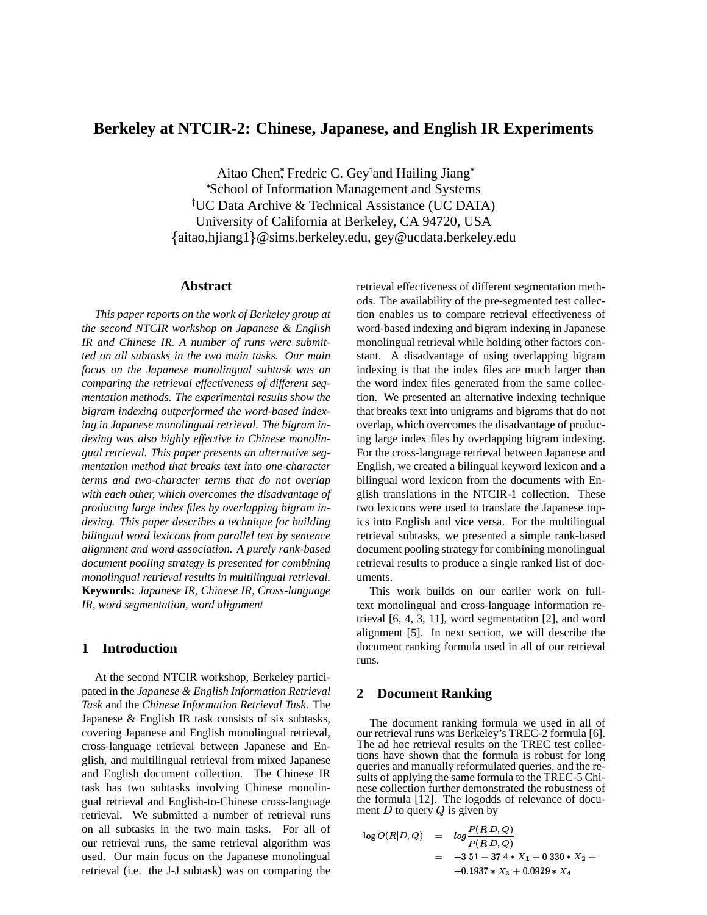# **Berkeley at NTCIR-2: Chinese, Japanese, and English IR Experiments**

Aitao Chen,\* Fredric C. Gey<sup>†</sup>and Hailing Jiang\* School of Information Management and Systems UC Data Archive & Technical Assistance (UC DATA) University of California at Berkeley, CA 94720, USA - aitao,hjiang1 @sims.berkeley.edu, gey@ucdata.berkeley.edu

### **Abstract**

*This paper reports on the work of Berkeley group at the second NTCIR workshop on Japanese & English IR and Chinese IR. A number of runs were submitted on all subtasks in the two main tasks. Our main focus on the Japanese monolingual subtask was on comparing the retrieval effectiveness of different segmentation methods. The experimental results show the bigram indexing outperformed the word-based indexing in Japanese monolingual retrieval. The bigram indexing was also highly effective in Chinese monolingual retrieval. This paper presents an alternative segmentation method that breaks text into one-character terms and two-character terms that do not overlap with each other, which overcomes the disadvantage of producing large index files by overlapping bigram indexing. This paper describes a technique for building bilingual word lexicons from parallel text by sentence alignment and word association. A purely rank-based document pooling strategy is presented for combining monolingual retrieval results in multilingual retrieval.* **Keywords:** *Japanese IR, Chinese IR, Cross-language IR, word segmentation, word alignment*

# **1 Introduction**

At the second NTCIR workshop, Berkeley participated in the *Japanese & English Information Retrieval Task* and the *Chinese Information Retrieval Task*. The Japanese & English IR task consists of six subtasks, covering Japanese and English monolingual retrieval, cross-language retrieval between Japanese and English, and multilingual retrieval from mixed Japanese and English document collection. The Chinese IR task has two subtasks involving Chinese monolingual retrieval and English-to-Chinese cross-language retrieval. We submitted a number of retrieval runs on all subtasks in the two main tasks. For all of our retrieval runs, the same retrieval algorithm was used. Our main focus on the Japanese monolingual retrieval (i.e. the J-J subtask) was on comparing the

retrieval effectiveness of different segmentation methods. The availability of the pre-segmented test collection enables us to compare retrieval effectiveness of word-based indexing and bigram indexing in Japanese monolingual retrieval while holding other factors constant. A disadvantage of using overlapping bigram indexing is that the index files are much larger than the word index files generated from the same collection. We presented an alternative indexing technique that breaks text into unigrams and bigrams that do not overlap, which overcomes the disadvantage of producing large index files by overlapping bigram indexing. For the cross-language retrieval between Japanese and English, we created a bilingual keyword lexicon and a bilingual word lexicon from the documents with English translations in the NTCIR-1 collection. These two lexicons were used to translate the Japanese topics into English and vice versa. For the multilingual retrieval subtasks, we presented a simple rank-based document pooling strategy for combining monolingual retrieval results to produce a single ranked list of documents.

This work builds on our earlier work on fulltext monolingual and cross-language information retrieval [6, 4, 3, 11], word segmentation [2], and word alignment [5]. In next section, we will describe the document ranking formula used in all of our retrieval runs.

# **2 Document Ranking**

The document ranking formula we used in all of our retrieval runs was Berkeley's TREC-2 formula [6]. The ad hoc retrieval results on the TREC test collections have shown that the formula is robust for long queries and manually reformulated queries, and the results of applying the same formula to the TREC-5 Chinese collection further demonstrated the robustness of the formula [12]. The logodds of relevance of document D to query  $Q$  is given by

$$
\log O(R|D,Q) = \log \frac{P(R|D,Q)}{P(\overline{R}|D,Q)} \n= -3.51 + 37.4 * X_1 + 0.330 * X_2 +\n-0.1937 * X_3 + 0.0929 * X_4
$$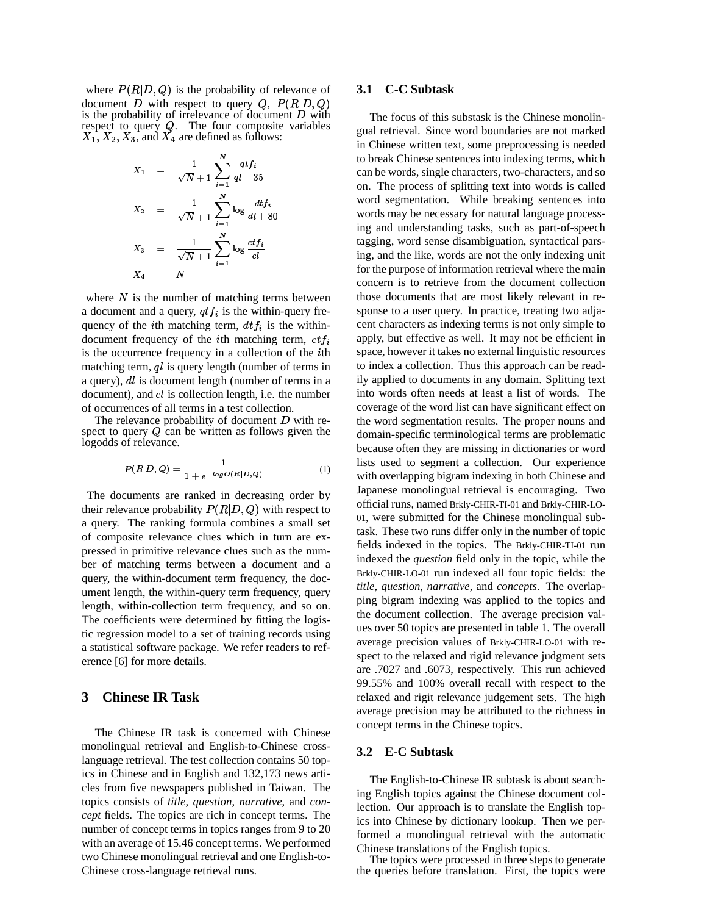where  $P(R|D,Q)$  is the probability of relevance of document D with respect to query  $Q$ ,  $P(R|D, Q)$ <br>is the probability of irrelevance of document D with The respect to query  $Q$ . The four composite variables  $\overline{X}_2, X_3, \overline{X}_4$  are defined as follows:

$$
X_1 = \frac{1}{\sqrt{N} + 1} \sum_{i=1}^{N} \frac{q t f_i}{q l + 35}
$$
  
\n
$$
X_2 = \frac{1}{\sqrt{N} + 1} \sum_{i=1}^{N} \log \frac{d t f_i}{d l + 80}
$$
  
\n
$$
X_3 = \frac{1}{\sqrt{N} + 1} \sum_{i=1}^{N} \log \frac{c t f_i}{c l}
$$
  
\n
$$
X_4 = N
$$

where  $N$  is the number of matching terms between a document and a query,  $qtf_i$  is the within-query frequency of the *i*th matching term,  $dt f_i$  is the withindocument frequency of the *i*th matching term,  $ctf_i$ is the occurrence frequency in a collection of the  $i$ th matching term,  $ql$  is query length (number of terms in a query),  $dl$  is document length (number of terms in a document), and  $cl$  is collection length, i.e. the number of occurrences of all terms in a test collection.

The relevance probability of document  $D$  with respect to query  $Q$  can be written as follows given the logodds of relevance.

$$
P(R|D,Q) = \frac{1}{1 + e^{-\log O(R|D,Q)}}\tag{1}
$$

The documents are ranked in decreasing order by their relevance probability  $P(R|D,Q)$  with respect to a query. The ranking formula combines a small set of composite relevance clues which in turn are expressed in primitive relevance clues such as the number of matching terms between a document and a query, the within-document term frequency, the document length, the within-query term frequency, query length, within-collection term frequency, and so on. The coefficients were determined by fitting the logistic regression model to a set of training records using a statistical software package. We refer readers to reference [6] for more details.

## **3 Chinese IR Task**

The Chinese IR task is concerned with Chinese monolingual retrieval and English-to-Chinese crosslanguage retrieval. The test collection contains 50 topics in Chinese and in English and 132,173 news articles from five newspapers published in Taiwan. The topics consists of *title*, *question*, *narrative*, and *concept* fields. The topics are rich in concept terms. The number of concept terms in topics ranges from 9 to 20 with an average of 15.46 concept terms. We performed two Chinese monolingual retrieval and one English-to-Chinese cross-language retrieval runs.

# **3.1 C-C Subtask**

The focus of this substask is the Chinese monolingual retrieval. Since word boundaries are not marked in Chinese written text, some preprocessing is needed to break Chinese sentences into indexing terms, which can be words, single characters, two-characters, and so on. The process of splitting text into words is called word segmentation. While breaking sentences into words may be necessary for natural language processing and understanding tasks, such as part-of-speech tagging, word sense disambiguation, syntactical parsing, and the like, words are not the only indexing unit for the purpose of information retrieval where the main concern is to retrieve from the document collection those documents that are most likely relevant in response to a user query. In practice, treating two adjacent characters as indexing terms is not only simple to apply, but effective as well. It may not be efficient in space, however it takes no external linguistic resources to index a collection. Thus this approach can be readily applied to documents in any domain. Splitting text into words often needs at least a list of words. The coverage of the word list can have significant effect on the word segmentation results. The proper nouns and domain-specific terminological terms are problematic because often they are missing in dictionaries or word lists used to segment a collection. Our experience with overlapping bigram indexing in both Chinese and Japanese monolingual retrieval is encouraging. Two official runs, named Brkly-CHIR-TI-01 and Brkly-CHIR-LO-01, were submitted for the Chinese monolingual subtask. These two runs differ only in the number of topic fields indexed in the topics. The Brkly-CHIR-TI-01 run indexed the *question* field only in the topic, while the Brkly-CHIR-LO-01 run indexed all four topic fields: the *title*, *question*, *narrative*, and *concepts*. The overlapping bigram indexing was applied to the topics and the document collection. The average precision values over 50 topics are presented in table 1. The overall average precision values of Brkly-CHIR-LO-01 with respect to the relaxed and rigid relevance judgment sets are .7027 and .6073, respectively. This run achieved 99.55% and 100% overall recall with respect to the relaxed and rigit relevance judgement sets. The high average precision may be attributed to the richness in concept terms in the Chinese topics.

#### **3.2 E-C Subtask**

The English-to-Chinese IR subtask is about searching English topics against the Chinese document collection. Our approach is to translate the English topics into Chinese by dictionary lookup. Then we performed a monolingual retrieval with the automatic Chinese translations of the English topics.

The topics were processed in three steps to generate the queries before translation. First, the topics were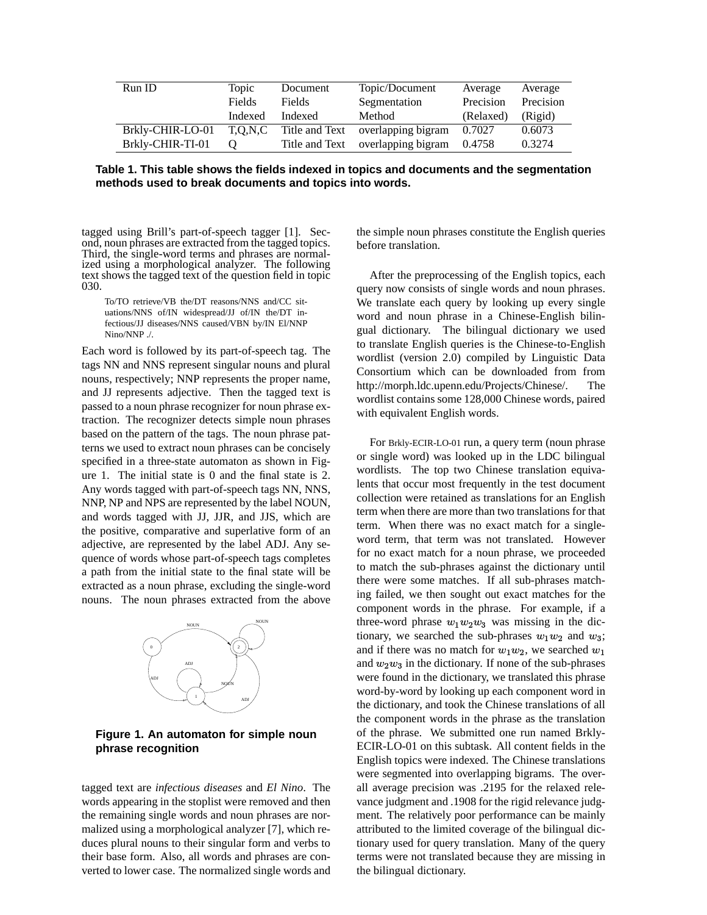| Run ID           | Topic         | Document       | Topic/Document                    | Average   | Average   |
|------------------|---------------|----------------|-----------------------------------|-----------|-----------|
|                  | <b>Fields</b> | <b>Fields</b>  | Segmentation                      | Precision | Precision |
|                  | Indexed       | Indexed        | Method                            | (Relaxed) | (Rigid)   |
| Brkly-CHIR-LO-01 | T.O.N.C       |                | Title and Text overlapping bigram | 0.7027    | 0.6073    |
| Brkly-CHIR-TI-01 | $\theta$      | Title and Text | overlapping bigram                | 0.4758    | 0.3274    |

**Table 1. This table shows the fields indexed in topics and documents and the segmentation methods used to break documents and topics into words.**

tagged using Brill's part-of-speech tagger [1]. Second, noun phrases are extracted from the tagged topics. Third, the single-word terms and phrases are normalized using a morphological analyzer. The following text shows the tagged text of the question field in topic 030.

To/TO retrieve/VB the/DT reasons/NNS and/CC situations/NNS of/IN widespread/JJ of/IN the/DT infectious/JJ diseases/NNS caused/VBN by/IN El/NNP Nino/NNP ./.

Each word is followed by its part-of-speech tag. The tags NN and NNS represent singular nouns and plural nouns, respectively; NNP represents the proper name, and JJ represents adjective. Then the tagged text is passed to a noun phrase recognizer for noun phrase extraction. The recognizer detects simple noun phrases based on the pattern of the tags. The noun phrase patterns we used to extract noun phrases can be concisely specified in a three-state automaton as shown in Figure 1. The initial state is 0 and the final state is 2. Any words tagged with part-of-speech tags NN, NNS, NNP, NP and NPS are represented by the label NOUN, and words tagged with JJ, JJR, and JJS, which are the positive, comparative and superlative form of an adjective, are represented by the label ADJ. Any sequence of words whose part-of-speech tags completes a path from the initial state to the final state will be extracted as a noun phrase, excluding the single-word nouns. The noun phrases extracted from the above



**Figure 1. An automaton for simple noun phrase recognition**

tagged text are *infectious diseases* and *El Nino*. The words appearing in the stoplist were removed and then the remaining single words and noun phrases are normalized using a morphological analyzer [7], which reduces plural nouns to their singular form and verbs to their base form. Also, all words and phrases are converted to lower case. The normalized single words and

the simple noun phrases constitute the English queries before translation.

After the preprocessing of the English topics, each query now consists of single words and noun phrases. We translate each query by looking up every single word and noun phrase in a Chinese-English bilingual dictionary. The bilingual dictionary we used to translate English queries is the Chinese-to-English wordlist (version 2.0) compiled by Linguistic Data Consortium which can be downloaded from from http://morph.ldc.upenn.edu/Projects/Chinese/. The wordlist contains some 128,000 Chinese words, paired with equivalent English words.

For Brkly-ECIR-LO-01 run, a query term (noun phrase or single word) was looked up in the LDC bilingual wordlists. The top two Chinese translation equivalents that occur most frequently in the test document collection were retained as translations for an English term when there are more than two translations for that term. When there was no exact match for a singleword term, that term was not translated. However for no exact match for a noun phrase, we proceeded to match the sub-phrases against the dictionary until there were some matches. If all sub-phrases matching failed, we then sought out exact matches for the component words in the phrase. For example, if a three-word phrase  $w_1w_2w_3$  was missing in the dictionary, we searched the sub-phrases  $w_1w_2$  and  $w_3$ ; and if there was no match for  $w_1w_2$ , we searched  $w_1$ and  $w_2w_3$  in the dictionary. If none of the sub-phrases were found in the dictionary, we translated this phrase word-by-word by looking up each component word in the dictionary, and took the Chinese translations of all the component words in the phrase as the translation of the phrase. We submitted one run named Brkly-ECIR-LO-01 on this subtask. All content fields in the English topics were indexed. The Chinese translations were segmented into overlapping bigrams. The overall average precision was .2195 for the relaxed relevance judgment and .1908 for the rigid relevance judgment. The relatively poor performance can be mainly attributed to the limited coverage of the bilingual dictionary used for query translation. Many of the query terms were not translated because they are missing in the bilingual dictionary.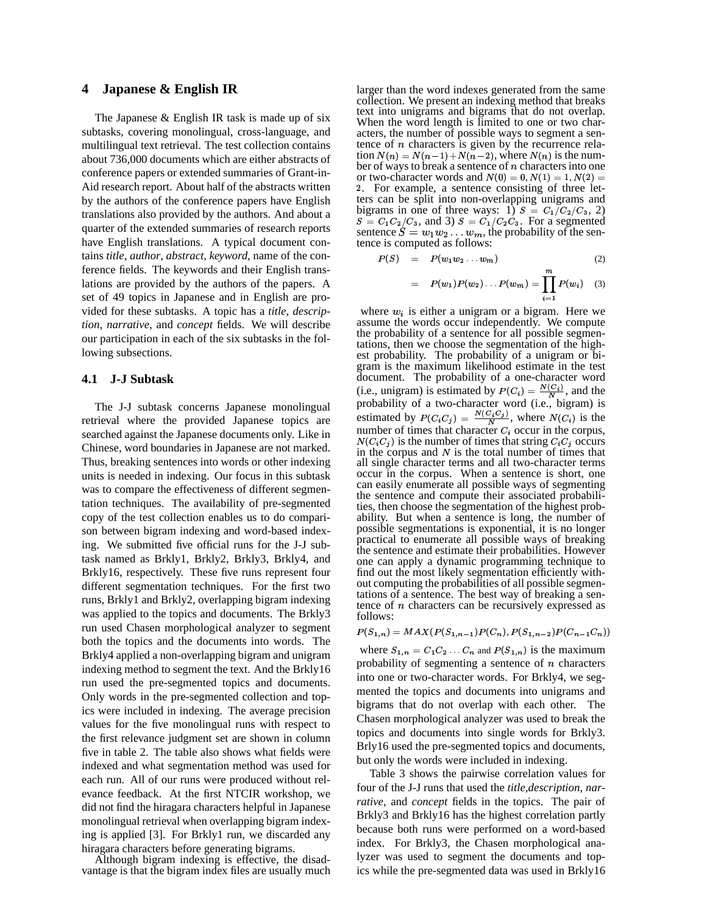### **4 Japanese & English IR**

The Japanese & English IR task is made up of six subtasks, covering monolingual, cross-language, and multilingual text retrieval. The test collection contains about 736,000 documents which are either abstracts of conference papers or extended summaries of Grant-in-Aid research report. About half of the abstracts written by the authors of the conference papers have English translations also provided by the authors. And about a quarter of the extended summaries of research reports have English translations. A typical document contains *title*, *author*, *abstract*, *keyword*, name of the conference fields. The keywords and their English translations are provided by the authors of the papers. A set of 49 topics in Japanese and in English are provided for these subtasks. A topic has a *title*, *description*, *narrative*, and *concept* fields. We will describe our participation in each of the six subtasks in the following subsections.

#### **4.1 J-J Subtask**

The J-J subtask concerns Japanese monolingual retrieval where the provided Japanese topics are searched against the Japanese documents only. Like in Chinese, word boundaries in Japanese are not marked. Thus, breaking sentences into words or other indexing units is needed in indexing. Our focus in this subtask was to compare the effectiveness of different segmentation techniques. The availability of pre-segmented copy of the test collection enables us to do comparison between bigram indexing and word-based indexing. We submitted five official runs for the J-J subtask named as Brkly1, Brkly2, Brkly3, Brkly4, and Brkly16, respectively. These five runs represent four different segmentation techniques. For the first two runs, Brkly1 and Brkly2, overlapping bigram indexing was applied to the topics and documents. The Brkly3 run used Chasen morphological analyzer to segment both the topics and the documents into words. The Brkly4 applied a non-overlapping bigram and unigram indexing method to segment the text. And the Brkly16 run used the pre-segmented topics and documents. Only words in the pre-segmented collection and topics were included in indexing. The average precision values for the five monolingual runs with respect to the first relevance judgment set are shown in column five in table 2. The table also shows what fields were indexed and what segmentation method was used for each run. All of our runs were produced without relevance feedback. At the first NTCIR workshop, we did not find the hiragara characters helpful in Japanese monolingual retrieval when overlapping bigram indexing is applied [3]. For Brkly1 run, we discarded any hiragara characters before generating bigrams.

Although bigram indexing is effective, the disadvantage is that the bigram index files are usually much larger than the word indexes generated from the same collection. We present an indexing method that breaks text into unigrams and bigrams that do not overlap. When the word length is limited to one or two characters, the number of possible ways to segment a sentence of  $n$  characters is given by the recurrence relation  $N(n) = N(n-1) + N(n-2)$ , where  $N(n)$  is the number of ways to break a sentence of  $n$  characters into one or two-character words and  $N(0) = 0, N(1) = 1, N(2) =$ @ . For example, a sentence consisting of three letters can be split into non-overlapping unigrams and bigrams in one of three ways: 1)  $S = C_1/C_2/C_3$ , 2)<br>  $S = C_1 C_2/C_3$ , and 3)  $S = C_1/C_2 C_3$ . For a segmented sentence  $S = w_1w_2 \ldots w_m$ , the probability of the sentence is computed as follows:

$$
P(S) = P(w_1 w_2 \ldots w_m) \tag{2}
$$

$$
= P(w_1)P(w_2)...P(w_m) = \prod_{i=1}^m P(w_i) \quad (3)
$$

where  $w_i$  is either a unigram or a bigram. Here we assume the words occur independently. We compute the probability of a sentence for all possible segmentations, then we choose the segmentation of the highest probability. The probability of a unigram or bigram is the maximum likelihood estimate in the test document. The probability of a one-character word document. The probability of a one-character word<br>(i.e., unigram) is estimated by  $P(C_i) = \frac{N(C_i)}{N}$ , and the probability of a two-character word (i.e., bigram) is probability of a two-character word (i.e., bigram) is<br>estimated by  $P(C_i C_j) = \frac{N(C_i C_j)}{N}$ , where  $N(C_i)$  is the number of times that character  $C_i$  occur in the corpus,  $N(C_i, C_j)$  is the number of times that string  $C_i, C_j$  occurs  $\cdots$ in the corpus and  $N$  is the total number of times that all single character terms and all two-character terms occur in the corpus. When a sentence is short, one can easily enumerate all possible ways of segmenting the sentence and compute their associated probabilities, then choose the segmentation of the highest probability. But when a sentence is long, the number of possible segmentations is exponential, it is no longer practical to enumerate all possible ways of breaking the sentence and estimate their probabilities. However one can apply a dynamic programming technique to find out the most likely segmentation efficiently without computing the probabilities of all possible segmentations of a sentence. The best way of breaking a sentence of  $n$  characters can be recursively expressed as follows:

$$
P(S_{1,n}) = MAX(P(S_{1,n-1})P(C_n), P(S_{1,n-2})P(C_{n-1}C_n))
$$

where  $S_{1,n} = C_1 C_2 \dots C_n$  and  $P(S_{1,n})$  is the maximum probability of segmenting a sentence of  $n$  characters into one or two-character words. For Brkly4, we segmented the topics and documents into unigrams and bigrams that do not overlap with each other. The Chasen morphological analyzer was used to break the topics and documents into single words for Brkly3. Brly16 used the pre-segmented topics and documents, but only the words were included in indexing.

Table 3 shows the pairwise correlation values for four of the J-J runs that used the *title*,*description*, *narrative*, and *concept* fields in the topics. The pair of Brkly3 and Brkly16 has the highest correlation partly because both runs were performed on a word-based index. For Brkly3, the Chasen morphological analyzer was used to segment the documents and topics while the pre-segmented data was used in Brkly16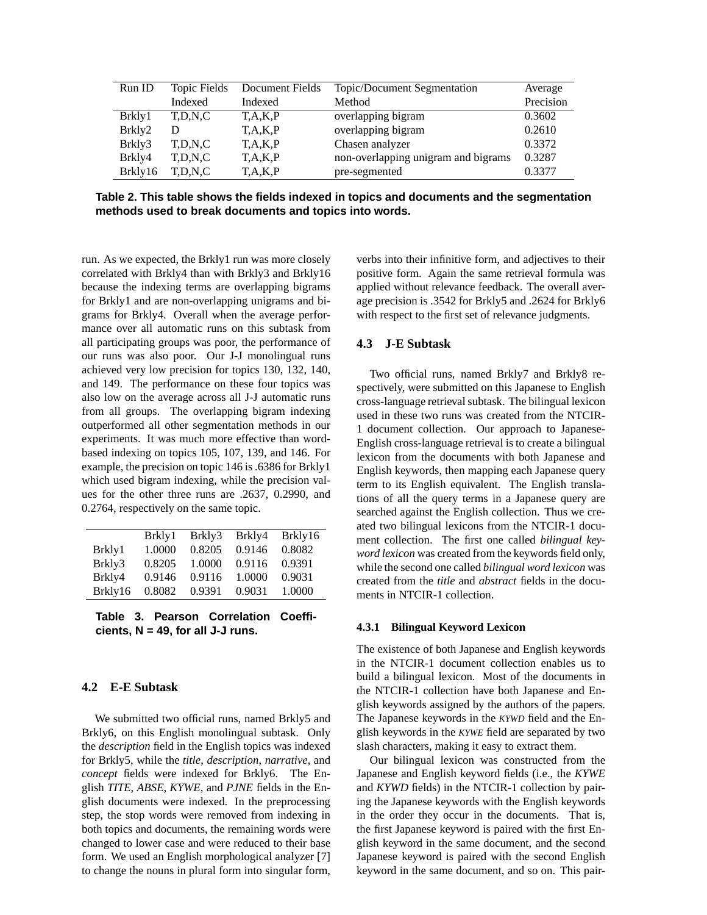| Run ID  | Topic Fields | Document Fields | Topic/Document Segmentation         | Average   |
|---------|--------------|-----------------|-------------------------------------|-----------|
|         | Indexed      | Indexed         | Method                              | Precision |
| Brkly1  | T.D.N.C      | T.A.K.P         | overlapping bigram                  | 0.3602    |
| Brkly2  | D            | T, A, K, P      | overlapping bigram                  | 0.2610    |
| Brkly3  | T,D,N,C      | T, A, K, P      | Chasen analyzer                     | 0.3372    |
| Brkly4  | T,D,N,C      | T, A, K, P      | non-overlapping unigram and bigrams | 0.3287    |
| Brkly16 | T.D.N.C      | T,A,K,P         | pre-segmented                       | 0.3377    |

**Table 2. This table shows the fields indexed in topics and documents and the segmentation methods used to break documents and topics into words.**

run. As we expected, the Brkly1 run was more closely correlated with Brkly4 than with Brkly3 and Brkly16 because the indexing terms are overlapping bigrams for Brkly1 and are non-overlapping unigrams and bigrams for Brkly4. Overall when the average performance over all automatic runs on this subtask from all participating groups was poor, the performance of our runs was also poor. Our J-J monolingual runs achieved very low precision for topics 130, 132, 140, and 149. The performance on these four topics was also low on the average across all J-J automatic runs from all groups. The overlapping bigram indexing outperformed all other segmentation methods in our experiments. It was much more effective than wordbased indexing on topics 105, 107, 139, and 146. For example, the precision on topic 146 is.6386 for Brkly1 which used bigram indexing, while the precision values for the other three runs are .2637, 0.2990, and 0.2764, respectively on the same topic.

|         | Brkly1 | Brkly3 | Brkly4 | Brkly16 |
|---------|--------|--------|--------|---------|
| Brkly1  | 1.0000 | 0.8205 | 0.9146 | 0.8082  |
| Brkly3  | 0.8205 | 1.0000 | 0.9116 | 0.9391  |
| Brkly4  | 0.9146 | 0.9116 | 1.0000 | 0.9031  |
| Brkly16 | 0.8082 | 0.9391 | 0.9031 | 1.0000  |
|         |        |        |        |         |

**Table 3. Pearson Correlation Coefficients, N = 49, for all J-J runs.**

# **4.2 E-E Subtask**

We submitted two official runs, named Brkly5 and Brkly6, on this English monolingual subtask. Only the *description* field in the English topics was indexed for Brkly5, while the *title*, *description*, *narrative*, and *concept* fields were indexed for Brkly6. The English *TITE*, *ABSE*, *KYWE*, and *PJNE* fields in the English documents were indexed. In the preprocessing step, the stop words were removed from indexing in both topics and documents, the remaining words were changed to lower case and were reduced to their base form. We used an English morphological analyzer [7] to change the nouns in plural form into singular form,

verbs into their infinitive form, and adjectives to their positive form. Again the same retrieval formula was applied without relevance feedback. The overall average precision is .3542 for Brkly5 and .2624 for Brkly6 with respect to the first set of relevance judgments.

### **4.3 J-E Subtask**

Two official runs, named Brkly7 and Brkly8 respectively, were submitted on this Japanese to English cross-language retrieval subtask. The bilingual lexicon used in these two runs was created from the NTCIR-1 document collection. Our approach to Japanese-English cross-language retrieval is to create a bilingual lexicon from the documents with both Japanese and English keywords, then mapping each Japanese query term to its English equivalent. The English translations of all the query terms in a Japanese query are searched against the English collection. Thus we created two bilingual lexicons from the NTCIR-1 document collection. The first one called *bilingual keyword lexicon* was created from the keywords field only, while the second one called *bilingual word lexicon* was created from the *title* and *abstract* fields in the documents in NTCIR-1 collection.

#### **4.3.1 Bilingual Keyword Lexicon**

The existence of both Japanese and English keywords in the NTCIR-1 document collection enables us to build a bilingual lexicon. Most of the documents in the NTCIR-1 collection have both Japanese and English keywords assigned by the authors of the papers. The Japanese keywords in the *KYWD* field and the English keywords in the *KYWE* field are separated by two slash characters, making it easy to extract them.

Our bilingual lexicon was constructed from the Japanese and English keyword fields (i.e., the *KYWE* and *KYWD* fields) in the NTCIR-1 collection by pairing the Japanese keywords with the English keywords in the order they occur in the documents. That is, the first Japanese keyword is paired with the first English keyword in the same document, and the second Japanese keyword is paired with the second English keyword in the same document, and so on. This pair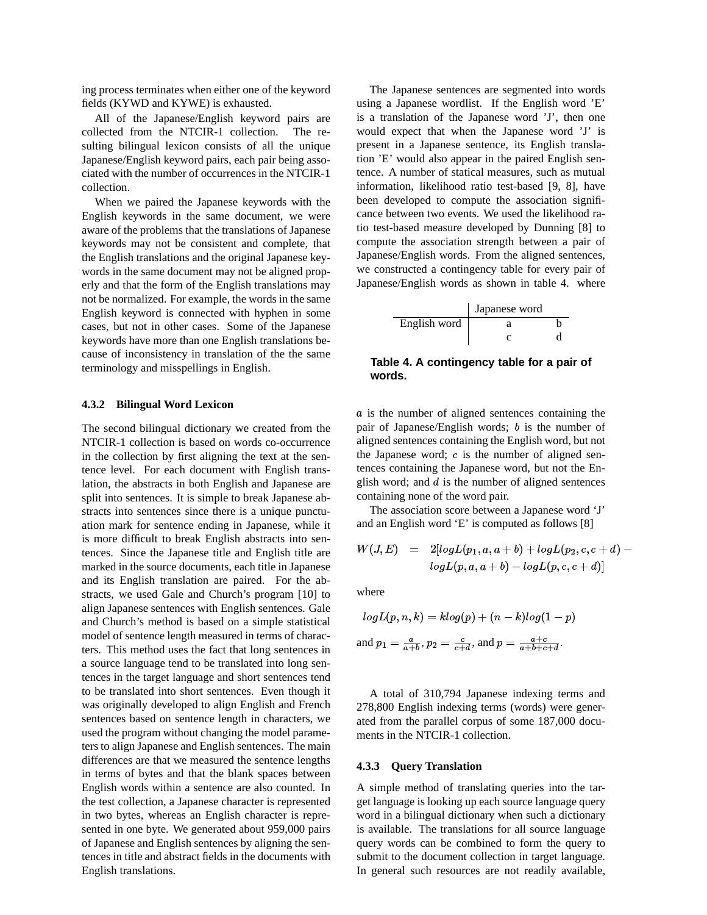ing process terminates when either one of the keyword fields (KYWD and KYWE) is exhausted.

All of the Japanese/English keyword pairs are collected from the NTCIR-1 collection. The resulting bilingual lexicon consists of all the unique Japanese/English keyword pairs, each pair being associated with the number of occurrences in the NTCIR-1 collection.

When we paired the Japanese keywords with the English keywords in the same document, we were aware of the problems that the translations of Japanese keywords may not be consistent and complete, that the English translations and the original Japanese keywords in the same document may not be aligned properly and that the form of the English translations may not be normalized. For example, the words in the same English keyword is connected with hyphen in some cases, but not in other cases. Some of the Japanese keywords have more than one English translations because of inconsistency in translation of the the same terminology and misspellings in English.

#### **4.3.2 Bilingual Word Lexicon**

The second bilingual dictionary we created from the NTCIR-1 collection is based on words co-occurrence in the collection by first aligning the text at the sentence level. For each document with English translation, the abstracts in both English and Japanese are split into sentences. It is simple to break Japanese abstracts into sentences since there is a unique punctuation mark for sentence ending in Japanese, while it is more difficult to break English abstracts into sentences. Since the Japanese title and English title are marked in the source documents, each title in Japanese and its English translation are paired. For the abstracts, we used Gale and Church's program [10] to align Japanese sentences with English sentences. Gale and Church's method is based on a simple statistical model of sentence length measured in terms of characters. This method uses the fact that long sentences in a source language tend to be translated into long sentences in the target language and short sentences tend to be translated into short sentences. Even though it was originally developed to align English and French sentences based on sentence length in characters, we used the program without changing the model parameters to align Japanese and English sentences. The main differences are that we measured the sentence lengths in terms of bytes and that the blank spaces between English words within a sentence are also counted. In the test collection, a Japanese character is represented in two bytes, whereas an English character is represented in one byte. We generated about 959,000 pairs of Japanese and English sentences by aligning the sentences in title and abstract fields in the documents with English translations.

The Japanese sentences are segmented into words using a Japanese wordlist. If the English word 'E' is a translation of the Japanese word 'J', then one would expect that when the Japanese word 'J' is present in a Japanese sentence, its English translation 'E' would also appear in the paired English sentence. A number of statical measures, such as mutual information, likelihood ratio test-based [9, 8], have been developed to compute the association significance between two events. We used the likelihood ratio test-based measure developed by Dunning [8] to compute the association strength between a pair of Japanese/English words. From the aligned sentences, we constructed a contingency table for every pair of Japanese/English words as shown in table 4. where

|              | Japanese word |  |
|--------------|---------------|--|
| English word |               |  |
|              |               |  |

**Table 4. A contingency table for a pair of words.**

a is the number of aligned sentences containing the pair of Japanese/English words;  $b$  is the number of aligned sentences containing the English word, but not the Japanese word;  $c$  is the number of aligned sentences containing the Japanese word, but not the English word; and  $d$  is the number of aligned sentences containing none of the word pair.

The association score between a Japanese word 'J' and an English word 'E' is computed as follows [8]

$$
W(J,E) \quad = \quad 2[log L(p_1,a,a+b)+log L(p_2,c,c+d)- \\ log L(p,a,a+b)-log L(p,c,c+d)]
$$

 $\sim\,$ 

where

$$
log L(p, n, k) = klog(p) + (n - k)log(1 - p)
$$
  
and 
$$
p_1 = \frac{a}{a+b}, p_2 = \frac{c}{c+d}, \text{ and } p = \frac{a+c}{a+b+c+d}.
$$

A total of 310,794 Japanese indexing terms and 278,800 English indexing terms (words) were generated from the parallel corpus of some 187,000 documents in the NTCIR-1 collection.

#### **4.3.3 Query Translation**

A simple method of translating queries into the target language is looking up each source language query word in a bilingual dictionary when such a dictionary is available. The translations for all source language query words can be combined to form the query to submit to the document collection in target language. In general such resources are not readily available,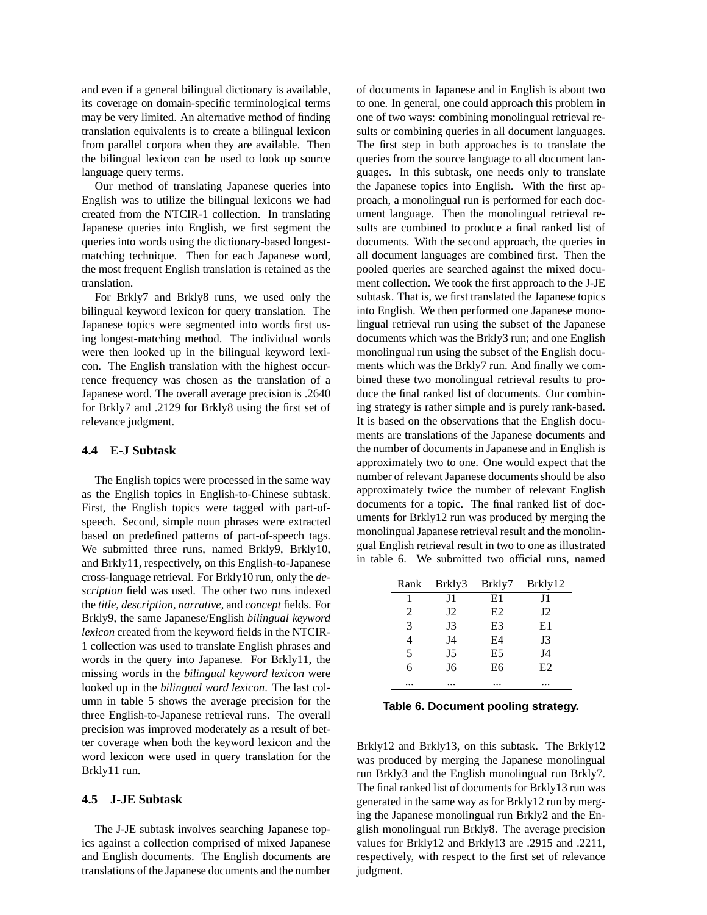and even if a general bilingual dictionary is available, its coverage on domain-specific terminological terms may be very limited. An alternative method of finding translation equivalents is to create a bilingual lexicon from parallel corpora when they are available. Then the bilingual lexicon can be used to look up source language query terms.

Our method of translating Japanese queries into English was to utilize the bilingual lexicons we had created from the NTCIR-1 collection. In translating Japanese queries into English, we first segment the queries into words using the dictionary-based longestmatching technique. Then for each Japanese word, the most frequent English translation is retained as the translation.

For Brkly7 and Brkly8 runs, we used only the bilingual keyword lexicon for query translation. The Japanese topics were segmented into words first using longest-matching method. The individual words were then looked up in the bilingual keyword lexicon. The English translation with the highest occurrence frequency was chosen as the translation of a Japanese word. The overall average precision is .2640 for Brkly7 and .2129 for Brkly8 using the first set of relevance judgment.

## **4.4 E-J Subtask**

The English topics were processed in the same way as the English topics in English-to-Chinese subtask. First, the English topics were tagged with part-ofspeech. Second, simple noun phrases were extracted based on predefined patterns of part-of-speech tags. We submitted three runs, named Brkly9, Brkly10, and Brkly11, respectively, on this English-to-Japanese cross-language retrieval. For Brkly10 run, only the *description* field was used. The other two runs indexed the *title*, *description*, *narrative*, and *concept* fields. For Brkly9, the same Japanese/English *bilingual keyword lexicon* created from the keyword fields in the NTCIR-1 collection was used to translate English phrases and words in the query into Japanese. For Brkly11, the missing words in the *bilingual keyword lexicon* were looked up in the *bilingual word lexicon*. The last column in table 5 shows the average precision for the three English-to-Japanese retrieval runs. The overall precision was improved moderately as a result of better coverage when both the keyword lexicon and the word lexicon were used in query translation for the Brkly11 run.

### **4.5 J-JE Subtask**

The J-JE subtask involves searching Japanese topics against a collection comprised of mixed Japanese and English documents. The English documents are translations of the Japanese documents and the number

of documents in Japanese and in English is about two to one. In general, one could approach this problem in one of two ways: combining monolingual retrieval results or combining queries in all document languages. The first step in both approaches is to translate the queries from the source language to all document languages. In this subtask, one needs only to translate the Japanese topics into English. With the first approach, a monolingual run is performed for each document language. Then the monolingual retrieval results are combined to produce a final ranked list of documents. With the second approach, the queries in all document languages are combined first. Then the pooled queries are searched against the mixed document collection. We took the first approach to the J-JE subtask. That is, we first translated the Japanese topics into English. We then performed one Japanese monolingual retrieval run using the subset of the Japanese documents which was the Brkly3 run; and one English monolingual run using the subset of the English documents which was the Brkly7 run. And finally we combined these two monolingual retrieval results to produce the final ranked list of documents. Our combining strategy is rather simple and is purely rank-based. It is based on the observations that the English documents are translations of the Japanese documents and the number of documents in Japanese and in English is approximately two to one. One would expect that the number of relevant Japanese documents should be also approximately twice the number of relevant English documents for a topic. The final ranked list of documents for Brkly12 run was produced by merging the monolingual Japanese retrieval result and the monolingual English retrieval result in two to one as illustrated in table 6. We submitted two official runs, named

| Rank | Brkly3         | Brkly7         | Brkly12     |
|------|----------------|----------------|-------------|
|      | J1             | E1             | J1          |
| 2    | $_{\rm J2}$    | E2             | $_{\rm J2}$ |
| 3    | J3             | E <sub>3</sub> | E1          |
| 4    | J4             | E4             | J3          |
| 5    | J <sub>5</sub> | E <sub>5</sub> | J4          |
| 6    | J6             | E6             | E2          |
|      |                |                |             |

| Table 6. Document pooling strategy. |  |
|-------------------------------------|--|
|-------------------------------------|--|

Brkly12 and Brkly13, on this subtask. The Brkly12 was produced by merging the Japanese monolingual run Brkly3 and the English monolingual run Brkly7. The final ranked list of documents for Brkly13 run was generated in the same way as for Brkly12 run by merging the Japanese monolingual run Brkly2 and the English monolingual run Brkly8. The average precision values for Brkly12 and Brkly13 are .2915 and .2211, respectively, with respect to the first set of relevance judgment.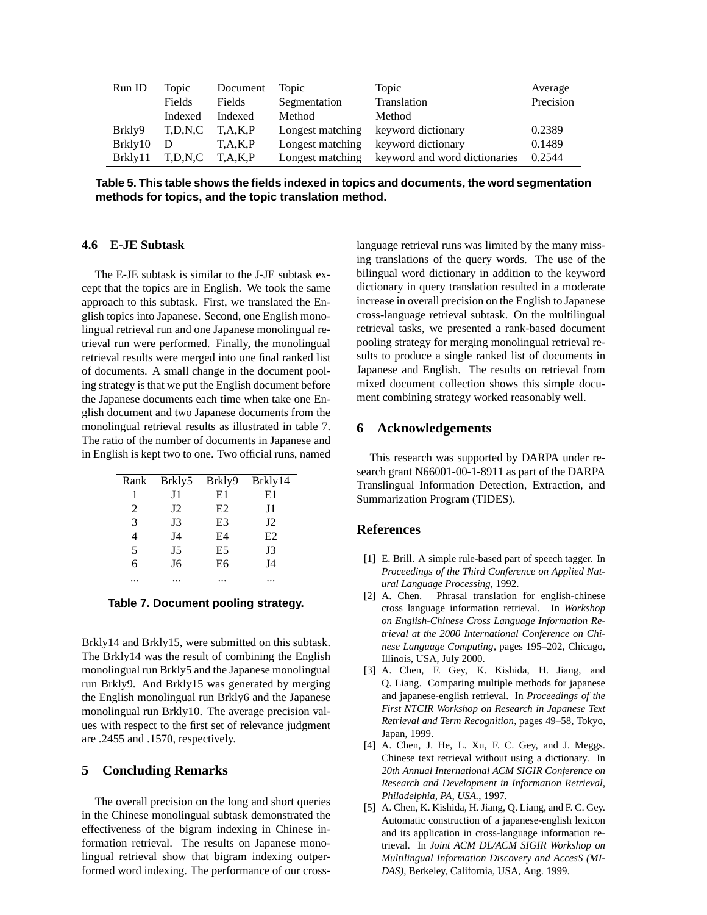| Run ID  | Topic   | Document      | Topic            | Topic                         | Average   |
|---------|---------|---------------|------------------|-------------------------------|-----------|
|         | Fields  | <b>Fields</b> | Segmentation     | Translation                   | Precision |
|         | Indexed | Indexed       | Method           | Method                        |           |
| Brkly9  | T.D.N.C | T.A.K.P       | Longest matching | keyword dictionary            | 0.2389    |
| Brkly10 | Ð       | T, A, K, P    | Longest matching | keyword dictionary            | 0.1489    |
| Brkly11 | T.D.N.C | T.A.K.P       | Longest matching | keyword and word dictionaries | 0.2544    |

**Table 5. This table shows the fields indexed in topics and documents, the word segmentation methods for topics, and the topic translation method.**

## **4.6 E-JE Subtask**

The E-JE subtask is similar to the J-JE subtask except that the topics are in English. We took the same approach to this subtask. First, we translated the English topics into Japanese. Second, one English monolingual retrieval run and one Japanese monolingual retrieval run were performed. Finally, the monolingual retrieval results were merged into one final ranked list of documents. A small change in the document pooling strategy is that we put the English document before the Japanese documents each time when take one English document and two Japanese documents from the monolingual retrieval results as illustrated in table 7. The ratio of the number of documents in Japanese and in English is kept two to one. Two official runs, named

| Rank | Brkly5         | Brkly9 | Brkly14     |
|------|----------------|--------|-------------|
|      | J1             | E1     | E1          |
| 2    | J <sub>2</sub> | E2     | J1          |
| 3    | J3             | E3     | $_{\rm J2}$ |
| 4    | J4             | E4     | E2          |
| 5    | J <sub>5</sub> | E5     | J3          |
| 6    | J6             | E6     | J4          |
|      |                |        |             |

**Table 7. Document pooling strategy.**

Brkly14 and Brkly15, were submitted on this subtask. The Brkly14 was the result of combining the English monolingual run Brkly5 and the Japanese monolingual run Brkly9. And Brkly15 was generated by merging the English monolingual run Brkly6 and the Japanese monolingual run Brkly10. The average precision values with respect to the first set of relevance judgment are .2455 and .1570, respectively.

### **5 Concluding Remarks**

The overall precision on the long and short queries in the Chinese monolingual subtask demonstrated the effectiveness of the bigram indexing in Chinese information retrieval. The results on Japanese monolingual retrieval show that bigram indexing outperformed word indexing. The performance of our crosslanguage retrieval runs was limited by the many missing translations of the query words. The use of the bilingual word dictionary in addition to the keyword dictionary in query translation resulted in a moderate increase in overall precision on the English to Japanese cross-language retrieval subtask. On the multilingual retrieval tasks, we presented a rank-based document pooling strategy for merging monolingual retrieval results to produce a single ranked list of documents in Japanese and English. The results on retrieval from mixed document collection shows this simple document combining strategy worked reasonably well.

# **6 Acknowledgements**

This research was supported by DARPA under research grant N66001-00-1-8911 as part of the DARPA Translingual Information Detection, Extraction, and Summarization Program (TIDES).

### **References**

- [1] E. Brill. A simple rule-based part of speech tagger. In *Proceedings of the Third Conference on Applied Natural Language Processing*, 1992.
- [2] A. Chen. Phrasal translation for english-chinese cross language information retrieval. In *Workshop on English-Chinese Cross Language Information Retrieval at the 2000 International Conference on Chinese Language Computing*, pages 195–202, Chicago, Illinois, USA, July 2000.
- [3] A. Chen, F. Gey, K. Kishida, H. Jiang, and Q. Liang. Comparing multiple methods for japanese and japanese-english retrieval. In *Proceedings of the First NTCIR Workshop on Research in Japanese Text Retrieval and Term Recognition*, pages 49–58, Tokyo, Japan, 1999.
- [4] A. Chen, J. He, L. Xu, F. C. Gey, and J. Meggs. Chinese text retrieval without using a dictionary. In *20th Annual International ACM SIGIR Conference on Research and Development in Information Retrieval, Philadelphia, PA, USA.*, 1997.
- [5] A. Chen, K. Kishida, H. Jiang, Q. Liang, and F. C. Gey. Automatic construction of a japanese-english lexicon and its application in cross-language information retrieval. In *Joint ACM DL/ACM SIGIR Workshop on Multilingual Information Discovery and AccesS (MI-DAS)*, Berkeley, California, USA, Aug. 1999.